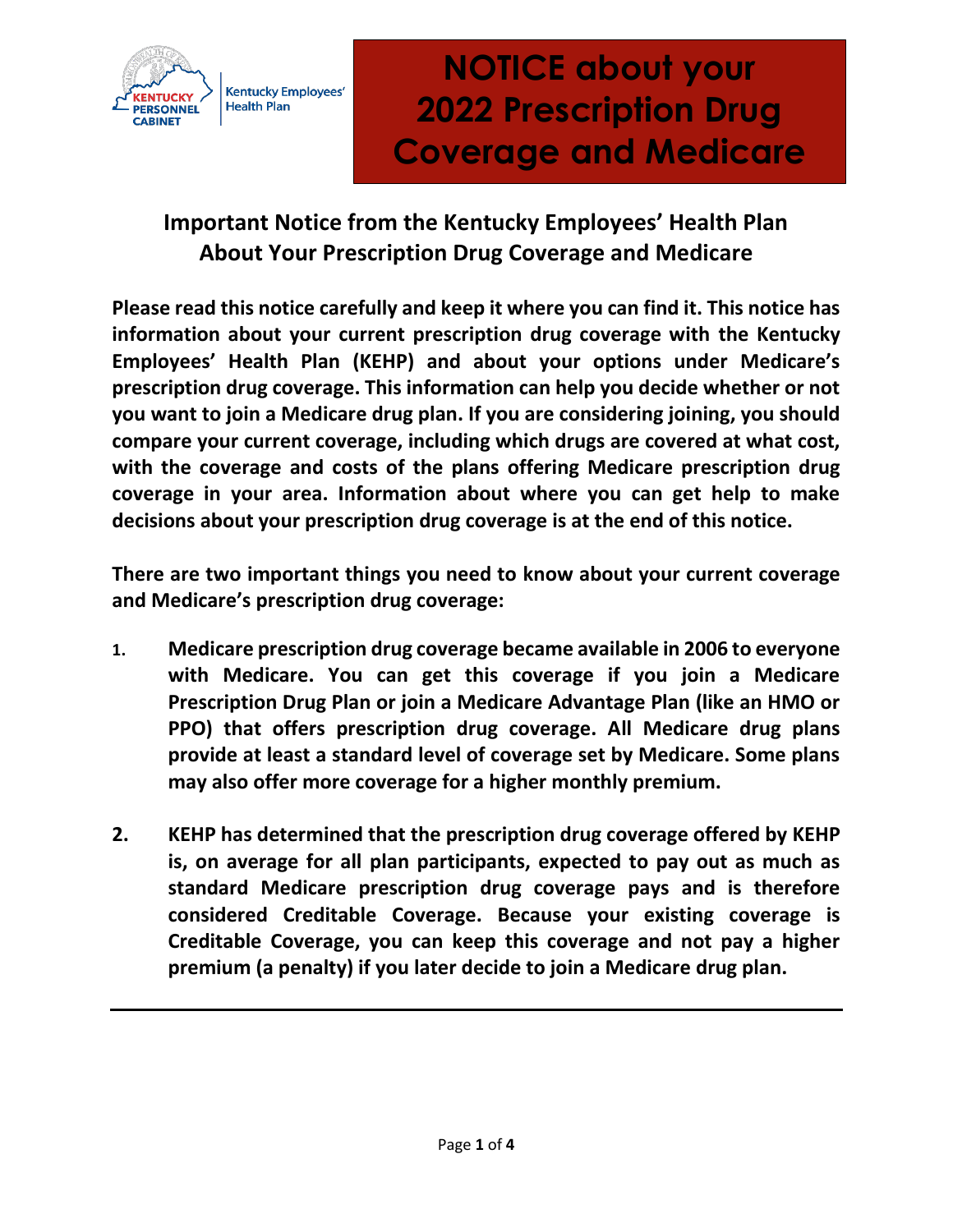

# **NOTICE about your 2022 Prescription Drug Coverage and Medicare**

## **Important Notice from the Kentucky Employees' Health Plan About Your Prescription Drug Coverage and Medicare**

**Please read this notice carefully and keep it where you can find it. This notice has information about your current prescription drug coverage with the Kentucky Employees' Health Plan (KEHP) and about your options under Medicare's prescription drug coverage. This information can help you decide whether or not you want to join a Medicare drug plan. If you are considering joining, you should compare your current coverage, including which drugs are covered at what cost, with the coverage and costs of the plans offering Medicare prescription drug coverage in your area. Information about where you can get help to make decisions about your prescription drug coverage is at the end of this notice.** 

**There are two important things you need to know about your current coverage and Medicare's prescription drug coverage:**

- **1. Medicare prescription drug coverage became available in 2006 to everyone with Medicare. You can get this coverage if you join a Medicare Prescription Drug Plan or join a Medicare Advantage Plan (like an HMO or PPO) that offers prescription drug coverage. All Medicare drug plans provide at least a standard level of coverage set by Medicare. Some plans may also offer more coverage for a higher monthly premium.**
- **2. KEHP has determined that the prescription drug coverage offered by KEHP is, on average for all plan participants, expected to pay out as much as standard Medicare prescription drug coverage pays and is therefore considered Creditable Coverage. Because your existing coverage is Creditable Coverage, you can keep this coverage and not pay a higher premium (a penalty) if you later decide to join a Medicare drug plan.**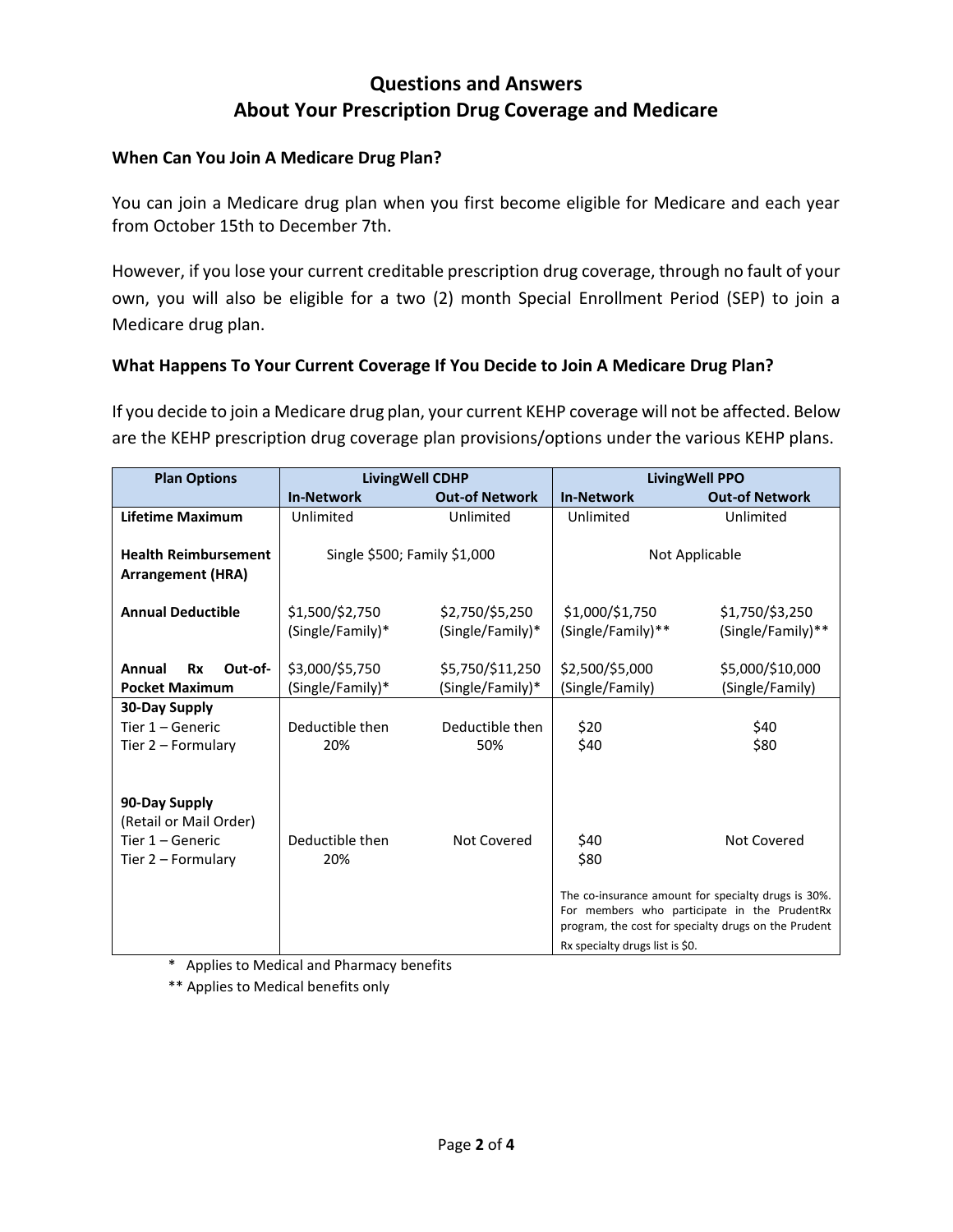### **Questions and Answers About Your Prescription Drug Coverage and Medicare**

#### **When Can You Join A Medicare Drug Plan?**

You can join a Medicare drug plan when you first become eligible for Medicare and each year from October 15th to December 7th.

However, if you lose your current creditable prescription drug coverage, through no fault of your own, you will also be eligible for a two (2) month Special Enrollment Period (SEP) to join a Medicare drug plan.

#### **What Happens To Your Current Coverage If You Decide to Join A Medicare Drug Plan?**

If you decide to join a Medicare drug plan, your current KEHP coverage will not be affected. Below are the KEHP prescription drug coverage plan provisions/options under the various KEHP plans.

| <b>Plan Options</b>            | <b>LivingWell CDHP</b>       |                       | <b>LivingWell PPO</b>                                                                                |                       |
|--------------------------------|------------------------------|-----------------------|------------------------------------------------------------------------------------------------------|-----------------------|
|                                | <b>In-Network</b>            | <b>Out-of Network</b> | <b>In-Network</b>                                                                                    | <b>Out-of Network</b> |
| Lifetime Maximum               | Unlimited                    | Unlimited             | Unlimited                                                                                            | Unlimited             |
|                                |                              |                       |                                                                                                      |                       |
| <b>Health Reimbursement</b>    | Single \$500; Family \$1,000 |                       | Not Applicable                                                                                       |                       |
| <b>Arrangement (HRA)</b>       |                              |                       |                                                                                                      |                       |
|                                |                              |                       |                                                                                                      |                       |
| <b>Annual Deductible</b>       | \$1,500/\$2,750              | \$2,750/\$5,250       | \$1,000/\$1,750                                                                                      | \$1,750/\$3,250       |
|                                | (Single/Family)*             | (Single/Family)*      | (Single/Family)**                                                                                    | (Single/Family)**     |
|                                |                              |                       |                                                                                                      |                       |
| Annual<br><b>Rx</b><br>Out-of- | \$3,000/\$5,750              | \$5,750/\$11,250      | \$2,500/\$5,000                                                                                      | \$5,000/\$10,000      |
| <b>Pocket Maximum</b>          | (Single/Family)*             | (Single/Family)*      | (Single/Family)                                                                                      | (Single/Family)       |
| 30-Day Supply                  |                              |                       |                                                                                                      |                       |
| Tier 1 - Generic               | Deductible then              | Deductible then       | \$20                                                                                                 | \$40                  |
| Tier 2 - Formulary             | 20%                          | 50%                   | \$40                                                                                                 | \$80                  |
|                                |                              |                       |                                                                                                      |                       |
|                                |                              |                       |                                                                                                      |                       |
| 90-Day Supply                  |                              |                       |                                                                                                      |                       |
| (Retail or Mail Order)         |                              |                       |                                                                                                      |                       |
| Tier 1 – Generic               | Deductible then              | Not Covered           | \$40                                                                                                 | Not Covered           |
| Tier 2 - Formulary             | 20%                          |                       | \$80                                                                                                 |                       |
|                                |                              |                       |                                                                                                      |                       |
|                                |                              |                       | The co-insurance amount for specialty drugs is 30%.                                                  |                       |
|                                |                              |                       | For members who participate in the PrudentRx<br>program, the cost for specialty drugs on the Prudent |                       |
|                                |                              |                       | Rx specialty drugs list is \$0.                                                                      |                       |
|                                |                              |                       |                                                                                                      |                       |

\* Applies to Medical and Pharmacy benefits

\*\* Applies to Medical benefits only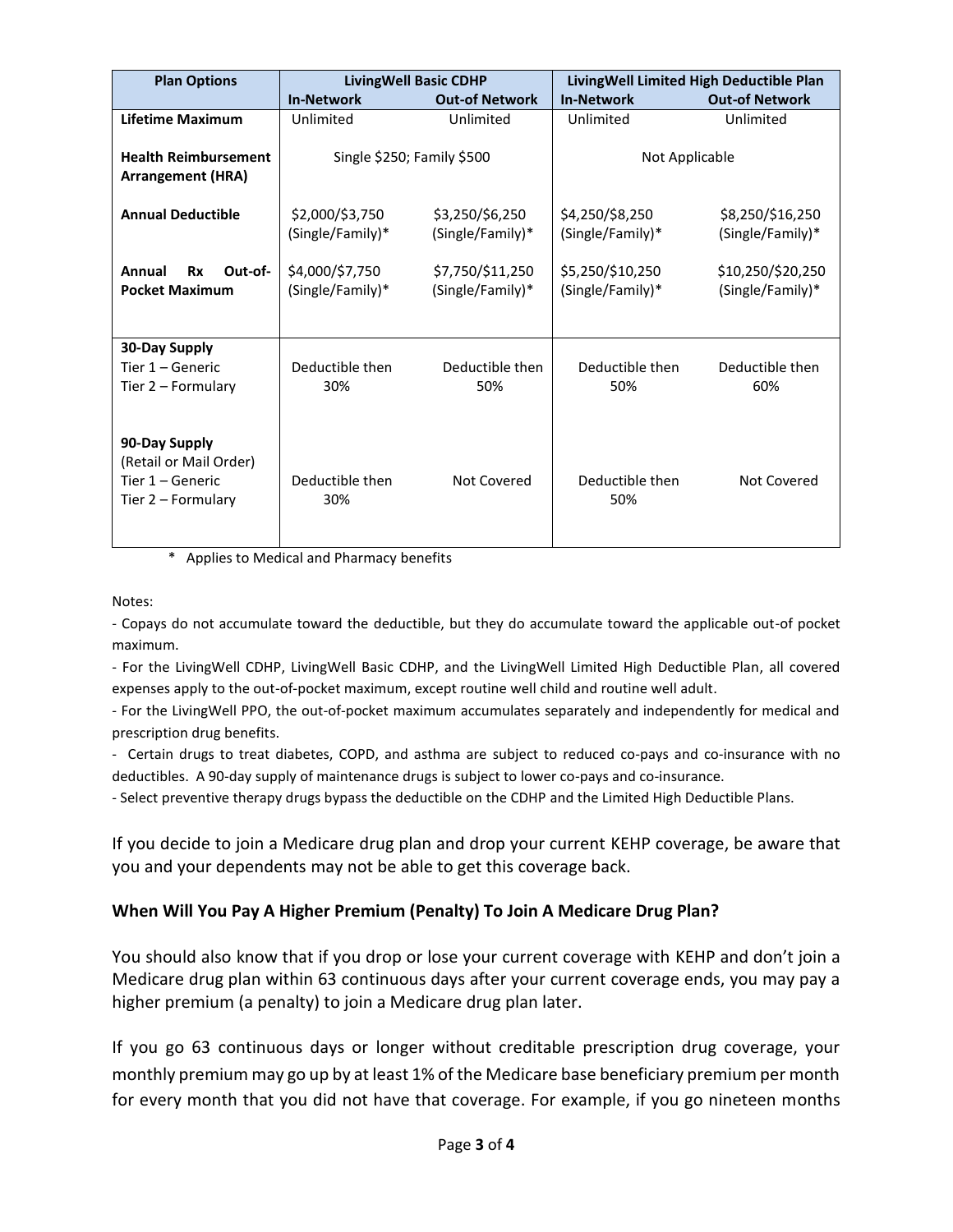| <b>Plan Options</b>                                                                   | <b>LivingWell Basic CDHP</b>        |                                      | LivingWell Limited High Deductible Plan |                                       |
|---------------------------------------------------------------------------------------|-------------------------------------|--------------------------------------|-----------------------------------------|---------------------------------------|
|                                                                                       | <b>In-Network</b>                   | <b>Out-of Network</b>                | <b>In-Network</b>                       | <b>Out-of Network</b>                 |
| <b>Lifetime Maximum</b>                                                               | Unlimited                           | Unlimited                            | Unlimited                               | Unlimited                             |
| <b>Health Reimbursement</b><br><b>Arrangement (HRA)</b>                               | Single \$250; Family \$500          |                                      | Not Applicable                          |                                       |
| <b>Annual Deductible</b>                                                              | \$2,000/\$3,750<br>(Single/Family)* | \$3,250/\$6,250<br>(Single/Family)*  | \$4,250/\$8,250<br>(Single/Family)*     | \$8,250/\$16,250<br>(Single/Family)*  |
| Annual<br>Rx<br>Out-of-<br><b>Pocket Maximum</b>                                      | \$4,000/\$7,750<br>(Single/Family)* | \$7,750/\$11,250<br>(Single/Family)* | \$5,250/\$10,250<br>(Single/Family)*    | \$10,250/\$20,250<br>(Single/Family)* |
| <b>30-Day Supply</b><br>Tier 1 – Generic<br>Tier 2 – Formulary                        | Deductible then<br>30%              | Deductible then<br>50%               | Deductible then<br>50%                  | Deductible then<br>60%                |
| 90-Day Supply<br>(Retail or Mail Order)<br>Tier $1 -$ Generic<br>Tier $2$ – Formulary | Deductible then<br>30%              | Not Covered                          | Deductible then<br>50%                  | Not Covered                           |

Applies to Medical and Pharmacy benefits

Notes:

- Copays do not accumulate toward the deductible, but they do accumulate toward the applicable out-of pocket maximum.

- For the LivingWell CDHP, LivingWell Basic CDHP, and the LivingWell Limited High Deductible Plan, all covered expenses apply to the out-of-pocket maximum, except routine well child and routine well adult.

- For the LivingWell PPO, the out-of-pocket maximum accumulates separately and independently for medical and prescription drug benefits.

- Certain drugs to treat diabetes, COPD, and asthma are subject to reduced co-pays and co-insurance with no deductibles. A 90-day supply of maintenance drugs is subject to lower co-pays and co-insurance.

- Select preventive therapy drugs bypass the deductible on the CDHP and the Limited High Deductible Plans.

If you decide to join a Medicare drug plan and drop your current KEHP coverage, be aware that you and your dependents may not be able to get this coverage back.

#### **When Will You Pay A Higher Premium (Penalty) To Join A Medicare Drug Plan?**

You should also know that if you drop or lose your current coverage with KEHP and don't join a Medicare drug plan within 63 continuous days after your current coverage ends, you may pay a higher premium (a penalty) to join a Medicare drug plan later.

If you go 63 continuous days or longer without creditable prescription drug coverage, your monthly premium may go up by at least 1% of the Medicare base beneficiary premium per month for every month that you did not have that coverage. For example, if you go nineteen months